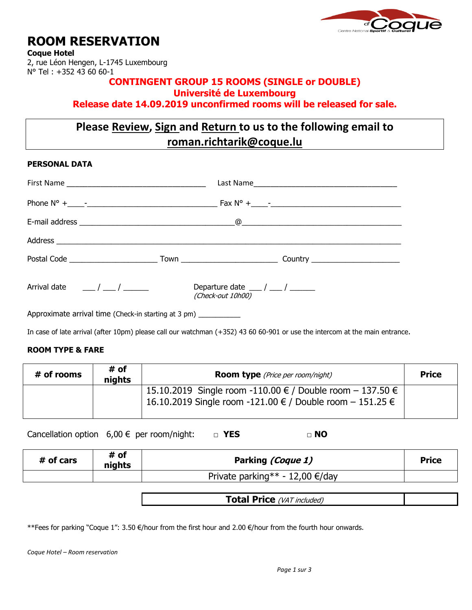

# **ROOM RESERVATION**

**Coque Hotel**

2, rue Léon Hengen, L-1745 Luxembourg N° Tel : +352 43 60 60-1

# **CONTINGENT GROUP 15 ROOMS (SINGLE or DOUBLE) Université de Luxembourg**

**Release date 14.09.2019 unconfirmed rooms will be released for sale.**

# **Please Review, Sign and Return to us to the following email to roman.richtarik@coque.lu**

## **PERSONAL DATA**

| Arrival date $\frac{1}{2}$ / $\frac{1}{2}$ / $\frac{1}{2}$       | Departure date $\frac{1}{2}$ / $\frac{1}{2}$<br>(Check-out 10h00) |  |  |
|------------------------------------------------------------------|-------------------------------------------------------------------|--|--|
| Approximate arrival time (Check-in starting at 3 pm) ___________ |                                                                   |  |  |

In case of late arrival (after 10pm) please call our watchman (+352) 43 60 60-901 or use the intercom at the main entrance.

# **ROOM TYPE & FARE**

| # of rooms | # of<br>nights | <b>Room type</b> (Price per room/night)                                                                                | <b>Price</b> |
|------------|----------------|------------------------------------------------------------------------------------------------------------------------|--------------|
|            |                | 15.10.2019 Single room -110.00 € / Double room – 137.50 €<br>16.10.2019 Single room -121.00 € / Double room - 151.25 € |              |

Cancellation option 6,00 € per room/night: **□ YES** □ NO

| # of cars | # of<br>nights | Parking (Coque 1)                 | <b>Price</b> |  |
|-----------|----------------|-----------------------------------|--------------|--|
|           |                | Private parking** - 12,00 €/day   |              |  |
|           |                |                                   |              |  |
|           |                | <b>Total Price</b> (VAT included) |              |  |

\*\*Fees for parking "Coque 1": 3.50 €/hour from the first hour and 2.00 €/hour from the fourth hour onwards.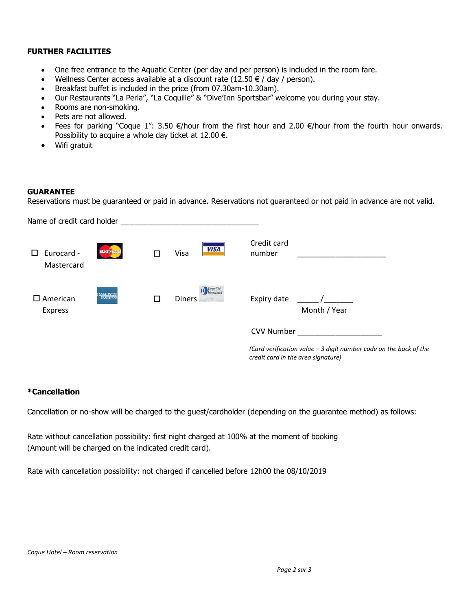### **FURTHER FACILITIES**

- One free entrance to the Aquatic Center (per day and per person) is included in the room fare.
- Wellness Center access available at a discount rate  $(12.50 \in /$  day / person).
- Breakfast buffet is included in the price (from 07.30am-10.30am).
- Our Restaurants "La Perla", "La Coquille" & "Dive'Inn Sportsbar" welcome you during your stay.
- Rooms are non-smoking.
- Pets are not allowed.
- Fees for parking "Coque 1": 3.50 €/hour from the first hour and 2.00 €/hour from the fourth hour onwards. Possibility to acquire a whole day ticket at  $12.00 \in$ .
- Wifi gratuit

#### **GUARANTEE**

Reservations must be guaranteed or paid in advance. Reservations not guaranteed or not paid in advance are not valid.

| Name of credit card holder    |                                    |   |                            |                                                                                                         |
|-------------------------------|------------------------------------|---|----------------------------|---------------------------------------------------------------------------------------------------------|
| Eurocard -<br>П<br>Mastercard | <b>MasterCard</b>                  |   | <b>VISA</b><br>Visa        | Credit card<br>number                                                                                   |
| $\square$ American<br>Express | <b>AMERICAN</b><br><b>EXHALLER</b> | П | (1) Diners Club<br>Diners, | Expiry date<br>Month / Year                                                                             |
|                               |                                    |   |                            | <b>CVV Number</b>                                                                                       |
|                               |                                    |   |                            | (Card verification value - 3 digit number code on the back of the<br>credit card in the area signature) |

### **\*Cancellation**

Cancellation or no-show will be charged to the guest/cardholder (depending on the guarantee method) as follows:

Rate without cancellation possibility: first night charged at 100% at the moment of booking (Amount will be charged on the indicated credit card).

Rate with cancellation possibility: not charged if cancelled before 12h00 the 08/10/2019